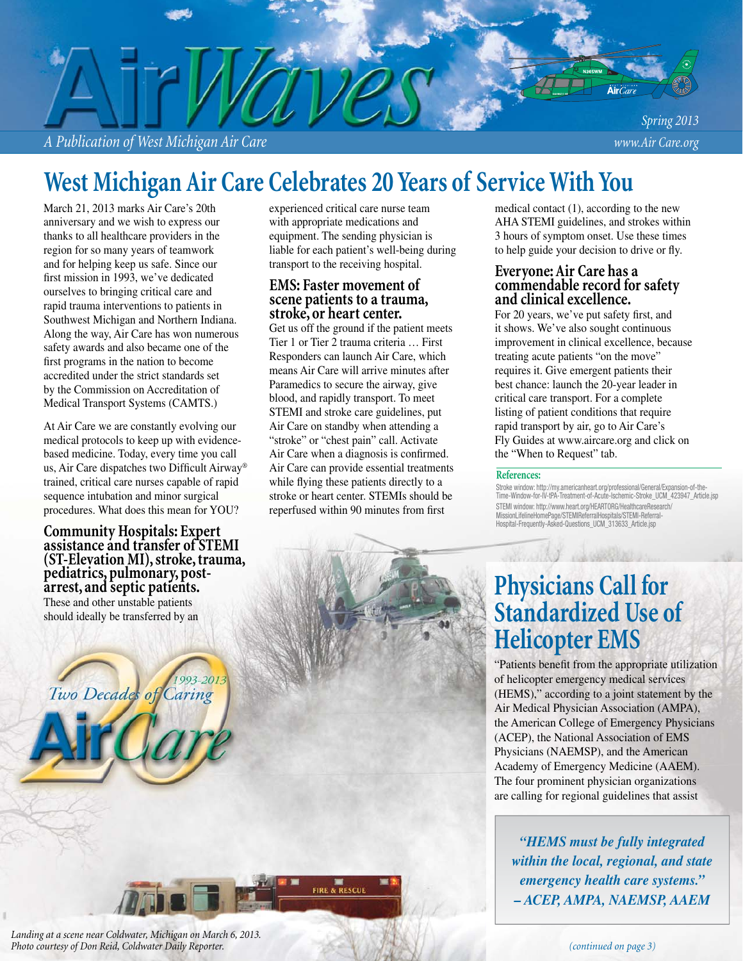*A Publication of West Michigan Air Care www.Air Care.org*

*Spring 2013*

Air $Ca$ 

# **West Michigan Air Care Celebrates 20 Years of Service With You**

March 21, 2013 marks Air Care's 20th anniversary and we wish to express our thanks to all healthcare providers in the region for so many years of teamwork and for helping keep us safe. Since our first mission in 1993, we've dedicated ourselves to bringing critical care and rapid trauma interventions to patients in Southwest Michigan and Northern Indiana. Along the way, Air Care has won numerous safety awards and also became one of the first programs in the nation to become accredited under the strict standards set by the Commission on Accreditation of Medical Transport Systems (CAMTS.)

At Air Care we are constantly evolving our medical protocols to keep up with evidencebased medicine. Today, every time you call us, Air Care dispatches two Difficult Airway<sup>®</sup> trained, critical care nurses capable of rapid sequence intubation and minor surgical procedures. What does this mean for YOU?

**Community Hospitals: Expert assistance and transfer of STEMI (ST-Elevation MI), stroke, trauma, pediatrics, pulmonary, postarrest, and septic patients.**  These and other unstable patients should ideally be transferred by an

Two Decades of Caring

experienced critical care nurse team with appropriate medications and equipment. The sending physician is liable for each patient's well-being during transport to the receiving hospital.

### **EMS: Faster movement of scene patients to a trauma, stroke, or heart center.**

Get us off the ground if the patient meets Tier 1 or Tier 2 trauma criteria … First Responders can launch Air Care, which means Air Care will arrive minutes after Paramedics to secure the airway, give blood, and rapidly transport. To meet STEMI and stroke care guidelines, put Air Care on standby when attending a "stroke" or "chest pain" call. Activate Air Care when a diagnosis is confirmed. Air Care can provide essential treatments while flying these patients directly to a stroke or heart center. STEMIs should be reperfused within 90 minutes from first

FIRE & RESCUE

medical contact (1), according to the new AHA STEMI guidelines, and strokes within 3 hours of symptom onset. Use these times to help guide your decision to drive or fly.

### **Everyone: Air Care has a commendable record for safety and clinical excellence.**

For 20 years, we've put safety first, and it shows. We've also sought continuous improvement in clinical excellence, because treating acute patients "on the move" requires it. Give emergent patients their best chance: launch the 20-year leader in critical care transport. For a complete listing of patient conditions that require rapid transport by air, go to Air Care's Fly Guides at www.aircare.org and click on the "When to Request" tab.

#### **References:**

Stroke window: http://my.americanheart.org/professional/General/Expansion-of-the-Time-Window-for-IV-tPA-Treatment-of-Acute-Ischemic-Stroke\_UCM\_423947\_Article.jsp STEMI window: http://www.heart.org/HEARTORG/HealthcareResearch/ MissionLifelineHomePage/STEMIReferralHospitals/STEMI-Referral-Hospital-Frequently-Asked-Questions\_UCM\_313633\_Article.jsp

## **Physicians Call for Standardized Use of Helicopter EMS**

"Patients benefit from the appropriate utilization" of helicopter emergency medical services (HEMS)," according to a joint statement by the Air Medical Physician Association (AMPA), the American College of Emergency Physicians (ACEP), the National Association of EMS Physicians (NAEMSP), and the American Academy of Emergency Medicine (AAEM). The four prominent physician organizations are calling for regional guidelines that assist

*"HEMS must be fully integrated within the local, regional, and state emergency health care systems." – ACEP, AMPA, NAEMSP, AAEM*

*Landing at a scene near Coldwater, Michigan on March 6, 2013. Photo courtesy of Don Reid, Coldwater Daily Reporter.*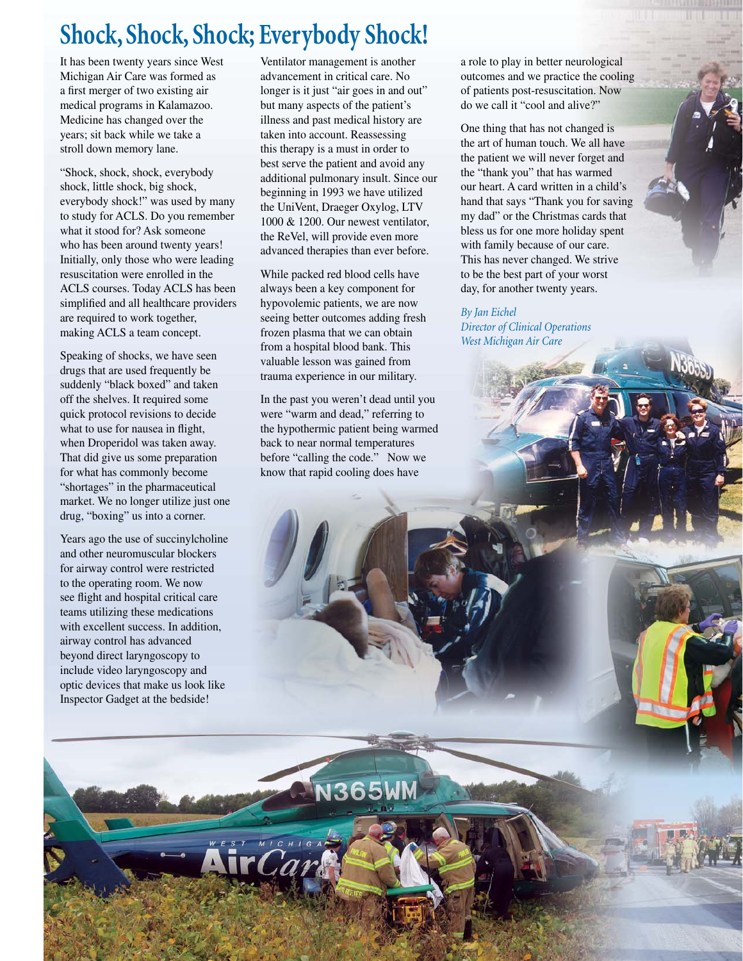# **Shock, Shock, Shock; Everybody Shock!**

It has been twenty years since West Michigan Air Care was formed as a first merger of two existing air medical programs in Kalamazoo. Medicine has changed over the years; sit back while we take a stroll down memory lane.

"Shock, shock, shock, everybody shock, little shock, big shock, everybody shock!" was used by many to study for ACLS. Do you remember what it stood for? Ask someone who has been around twenty years! Initially, only those who were leading resuscitation were enrolled in the ACLS courses. Today ACLS has been simplified and all healthcare providers are required to work together, making ACLS a team concept.

Speaking of shocks, we have seen drugs that are used frequently be suddenly "black boxed" and taken off the shelves. It required some quick protocol revisions to decide what to use for nausea in flight, when Droperidol was taken away. That did give us some preparation for what has commonly become "shortages" in the pharmaceutical market. We no longer utilize just one drug, "boxing" us into a corner.

Years ago the use of succinylcholine and other neuromuscular blockers for airway control were restricted to the operating room. We now see flight and hospital critical care teams utilizing these medications with excellent success. In addition, airway control has advanced beyond direct laryngoscopy to include video laryngoscopy and optic devices that make us look like Inspector Gadget at the bedside!

Ventilator management is another advancement in critical care. No longer is it just "air goes in and out" but many aspects of the patient's illness and past medical history are taken into account. Reassessing this therapy is a must in order to best serve the patient and avoid any additional pulmonary insult. Since our beginning in 1993 we have utilized the UniVent, Draeger Oxylog, LTV 1000 & 1200. Our newest ventilator, the ReVel, will provide even more advanced therapies than ever before.

While packed red blood cells have always been a key component for hypovolemic patients, we are now seeing better outcomes adding fresh frozen plasma that we can obtain from a hospital blood bank. This valuable lesson was gained from trauma experience in our military.

In the past you weren't dead until you were "warm and dead," referring to the hypothermic patient being warmed back to near normal temperatures before "calling the code." Now we know that rapid cooling does have

**N365W** 

rCard

a role to play in better neurological outcomes and we practice the cooling of patients post-resuscitation. Now do we call it "cool and alive?"

One thing that has not changed is the art of human touch. We all have the patient we will never forget and the "thank you" that has warmed our heart. A card written in a child's hand that says "Thank you for saving my dad" or the Christmas cards that bless us for one more holiday spent with family because of our care. This has never changed. We strive to be the best part of your worst day, for another twenty years.

*By Jan Eichel Director of Clinical Operations West Michigan Air Care*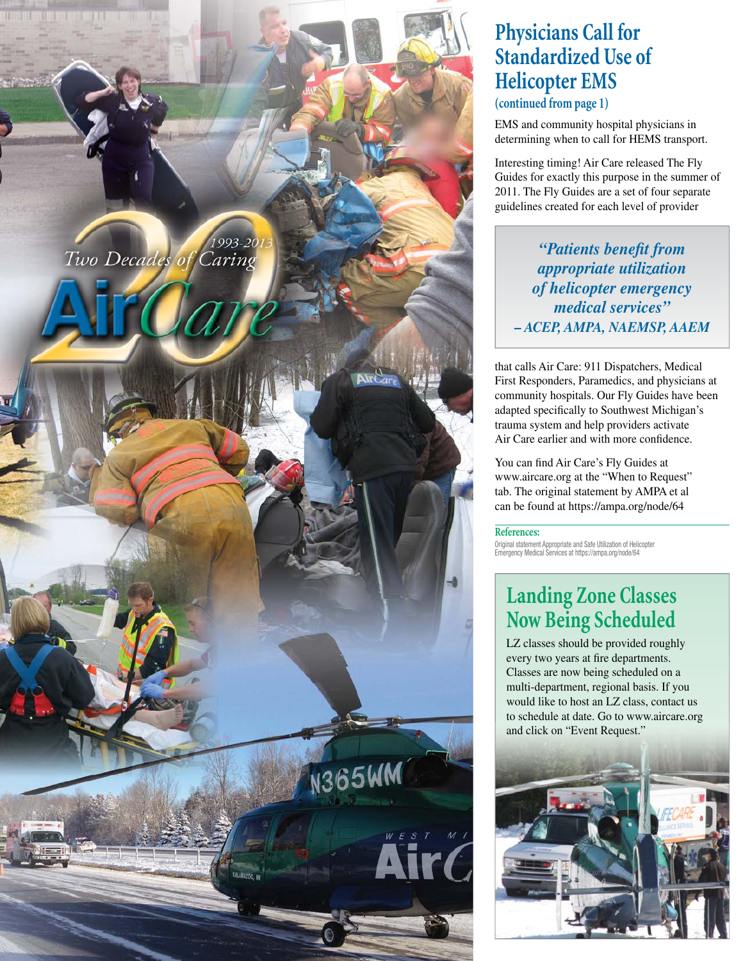

## **Physicians Call for Standardized Use of Helicopter EMS**

**(continued from page 1)**

EMS and community hospital physicians in determining when to call for HEMS transport.

Interesting timing! Air Care released The Fly Guides for exactly this purpose in the summer of 2011. The Fly Guides are a set of four separate guidelines created for each level of provider

*"Patients benefi t from appropriate utilization of helicopter emergency medical services" – ACEP, AMPA, NAEMSP, AAEM*

that calls Air Care: 911 Dispatchers, Medical First Responders, Paramedics, and physicians at community hospitals. Our Fly Guides have been adapted specifically to Southwest Michigan's trauma system and help providers activate Air Care earlier and with more confidence.

You can find Air Care's Fly Guides at www.aircare.org at the "When to Request" tab. The original statement by AMPA et al can be found at https://ampa.org/node/64

**References:**

Original statement Appropriate and Safe Utilization of Helicopter Emergency Medical Services at https://ampa.org/node/64

## **Landing Zone Classes Now Being Scheduled**

LZ classes should be provided roughly every two years at fire departments. Classes are now being scheduled on a multi-department, regional basis. If you would like to host an LZ class, contact us to schedule at date. Go to www.aircare.org and click on "Event Request." and